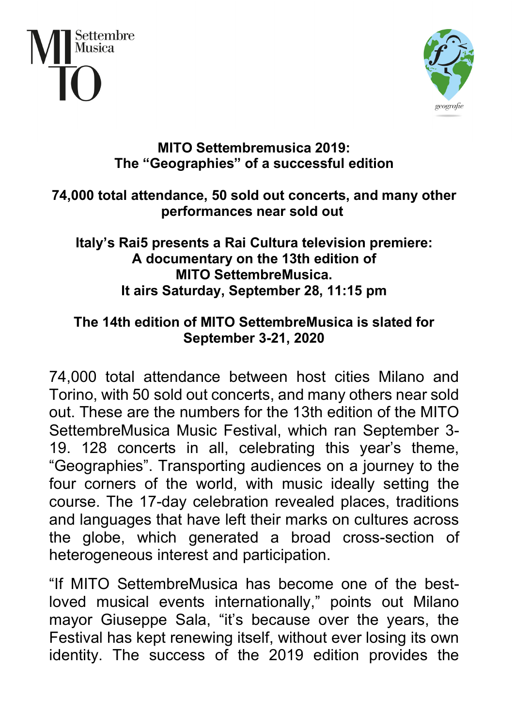



## **MITO Settembremusica 2019: The "Geographies" of a successful edition**

## **74,000 total attendance, 50 sold out concerts, and many other performances near sold out**

## **Italy's Rai5 presents a Rai Cultura television premiere: A documentary on the 13th edition of MITO SettembreMusica. It airs Saturday, September 28, 11:15 pm**

## **The 14th edition of MITO SettembreMusica is slated for September 3-21, 2020**

74,000 total attendance between host cities Milano and Torino, with 50 sold out concerts, and many others near sold out. These are the numbers for the 13th edition of the MITO SettembreMusica Music Festival, which ran September 3- 19. 128 concerts in all, celebrating this year's theme, "Geographies". Transporting audiences on a journey to the four corners of the world, with music ideally setting the course. The 17-day celebration revealed places, traditions and languages that have left their marks on cultures across the globe, which generated a broad cross-section of heterogeneous interest and participation.

"If MITO SettembreMusica has become one of the bestloved musical events internationally," points out Milano mayor Giuseppe Sala, "it's because over the years, the Festival has kept renewing itself, without ever losing its own identity. The success of the 2019 edition provides the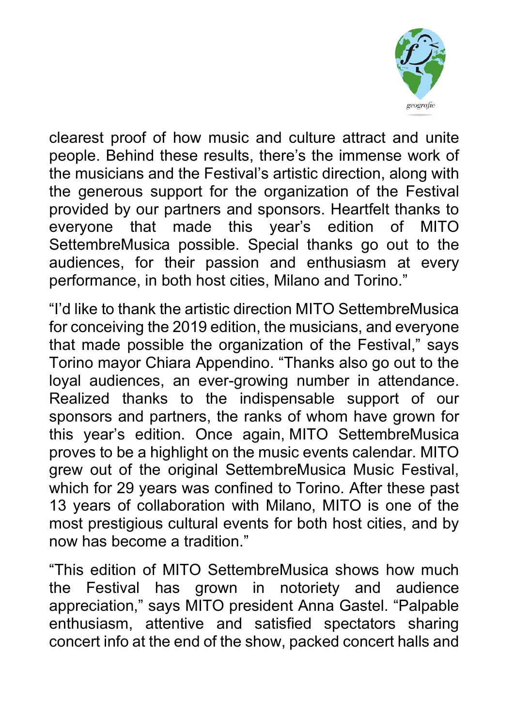

clearest proof of how music and culture attract and unite people. Behind these results, there's the immense work of the musicians and the Festival's artistic direction, along with the generous support for the organization of the Festival provided by our partners and sponsors. Heartfelt thanks to everyone that made this year's edition of MITO SettembreMusica possible. Special thanks go out to the audiences, for their passion and enthusiasm at every performance, in both host cities, Milano and Torino."

"I'd like to thank the artistic direction MITO SettembreMusica for conceiving the 2019 edition, the musicians, and everyone that made possible the organization of the Festival," says Torino mayor Chiara Appendino. "Thanks also go out to the loyal audiences, an ever-growing number in attendance. Realized thanks to the indispensable support of our sponsors and partners, the ranks of whom have grown for this year's edition. Once again, MITO SettembreMusica proves to be a highlight on the music events calendar. MITO grew out of the original SettembreMusica Music Festival, which for 29 years was confined to Torino. After these past 13 years of collaboration with Milano, MITO is one of the most prestigious cultural events for both host cities, and by now has become a tradition."

"This edition of MITO SettembreMusica shows how much the Festival has grown in notoriety and audience appreciation," says MITO president Anna Gastel. "Palpable enthusiasm, attentive and satisfied spectators sharing concert info at the end of the show, packed concert halls and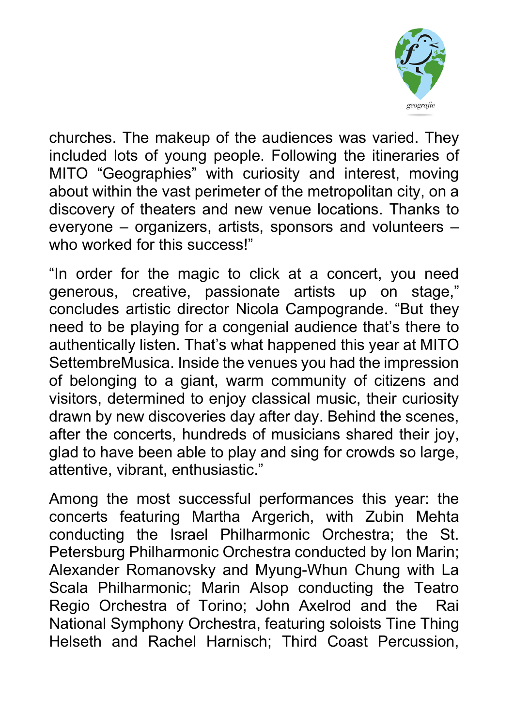

churches. The makeup of the audiences was varied. They included lots of young people. Following the itineraries of MITO "Geographies" with curiosity and interest, moving about within the vast perimeter of the metropolitan city, on a discovery of theaters and new venue locations. Thanks to everyone – organizers, artists, sponsors and volunteers – who worked for this success!"

"In order for the magic to click at a concert, you need generous, creative, passionate artists up on stage," concludes artistic director Nicola Campogrande. "But they need to be playing for a congenial audience that's there to authentically listen. That's what happened this year at MITO SettembreMusica. Inside the venues you had the impression of belonging to a giant, warm community of citizens and visitors, determined to enjoy classical music, their curiosity drawn by new discoveries day after day. Behind the scenes, after the concerts, hundreds of musicians shared their joy, glad to have been able to play and sing for crowds so large, attentive, vibrant, enthusiastic."

Among the most successful performances this year: the concerts featuring Martha Argerich, with Zubin Mehta conducting the Israel Philharmonic Orchestra; the St. Petersburg Philharmonic Orchestra conducted by Ion Marin; Alexander Romanovsky and Myung-Whun Chung with La Scala Philharmonic; Marin Alsop conducting the Teatro Regio Orchestra of Torino; John Axelrod and the Rai National Symphony Orchestra, featuring soloists Tine Thing Helseth and Rachel Harnisch; Third Coast Percussion,